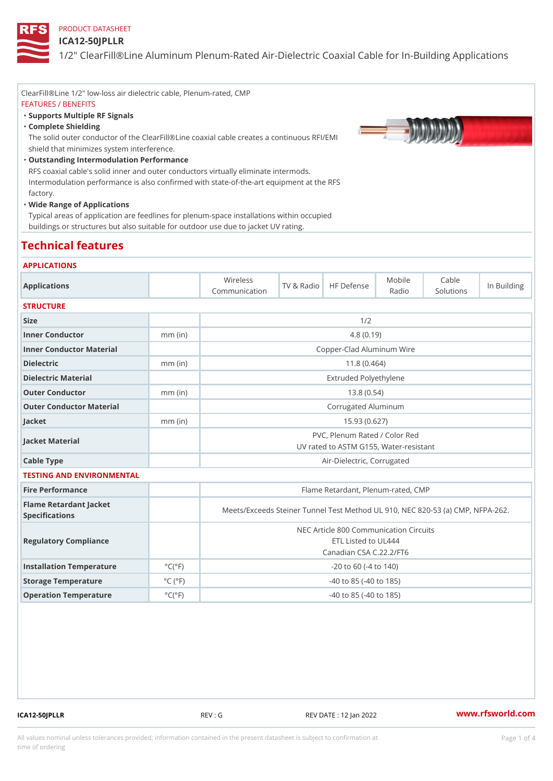#### ICA12-50JPLLR

1/2" ClearFill®Line Aluminum Plenum-Rated Air-Dielectric Coaxial Cab

ClearFill®Line 1/2" low-loss air dielectric cable, Plenum-rated, CMP

#### FEATURES / BENEFITS

"Supports Multiple RF Signals

Complete Shielding "

The solid outer conductor of the ClearFill®Line coaxial cable creates a continuous RFI/EMI shield that minimizes system interference.

Outstanding Intermodulation Performance "

RFS coaxial cable's solid inner and outer conductors virtually eliminate intermods. Intermodulation performance is also confirmed with state-of-the-art equipment at the RFS factory.

Wide Range of Applications "

Typical areas of application are feedlines for plenum-space installations within occupied buildings or structures but also suitable for outdoor use due to jacket UV rating.

# Technical features

#### APPLICATIONS

| Applications                             |                              | $C$ able<br>Wireless<br>Mobile<br>TV & RadHoF Defense Radio<br>In Building<br>Solutions<br>Communication |  |  |  |
|------------------------------------------|------------------------------|----------------------------------------------------------------------------------------------------------|--|--|--|
| <b>STRUCTURE</b>                         |                              |                                                                                                          |  |  |  |
| Size                                     |                              | 1/2                                                                                                      |  |  |  |
| Inner Conductor                          | $mm$ (in)                    | 4.8(0.19)                                                                                                |  |  |  |
| Inner Conductor Material                 |                              | Copper-Clad Aluminum Wire                                                                                |  |  |  |
| Dielectric                               | $mm$ (in)                    | 11.8(0.464)                                                                                              |  |  |  |
| Dielectric Material                      |                              | Extruded Polyethylene                                                                                    |  |  |  |
| Outer Conductor                          | $mm$ (in)                    | 13.8(0.54)                                                                                               |  |  |  |
| Outer Conductor Material                 |                              | Corrugated Aluminum                                                                                      |  |  |  |
| Jacket                                   | $mm$ (in)                    | 15.93(0.627)                                                                                             |  |  |  |
| Jacket Material                          |                              | PVC, Plenum Rated / Color Red<br>UV rated to ASTM G155, Water-resistant                                  |  |  |  |
| Cable Type                               |                              | Air-Dielectric, Corrugated                                                                               |  |  |  |
| TESTING AND ENVIRONMENTAL                |                              |                                                                                                          |  |  |  |
| Fire Performance                         |                              | Flame Retardant, Plenum-rated, CMP                                                                       |  |  |  |
| Flame Retardant Jacket<br>Specifications |                              | Meets/Exceeds Steiner Tunnel Test Method UL 910, NEC 820-5                                               |  |  |  |
| Regulatory Compliance                    |                              | NEC Article 800 Communication Circuits<br>ETL Listed to UL444<br>Canadian CSA C.22.2/FT6                 |  |  |  |
| Installation Temperature                 | $^{\circ}$ C ( $^{\circ}$ F) | $-20$ to 60 ( $-4$ to 140)                                                                               |  |  |  |
| Storage Temperature                      | $^{\circ}$ C ( $^{\circ}$ F  | $-40$ to $85$ ( $-40$ to $185$ )                                                                         |  |  |  |
| Operation Temperature                    | $^{\circ}$ C ( $^{\circ}$ F) | $-40$ to $85$ ( $-40$ to $185$ )                                                                         |  |  |  |

ICA12-50JPLLR REV : G REV DATE : 12 Jan 2022 [www.](https://www.rfsworld.com)rfsworld.com

All values nominal unless tolerances provided; information contained in the present datasheet is subject to Pcapgeligim attio time of ordering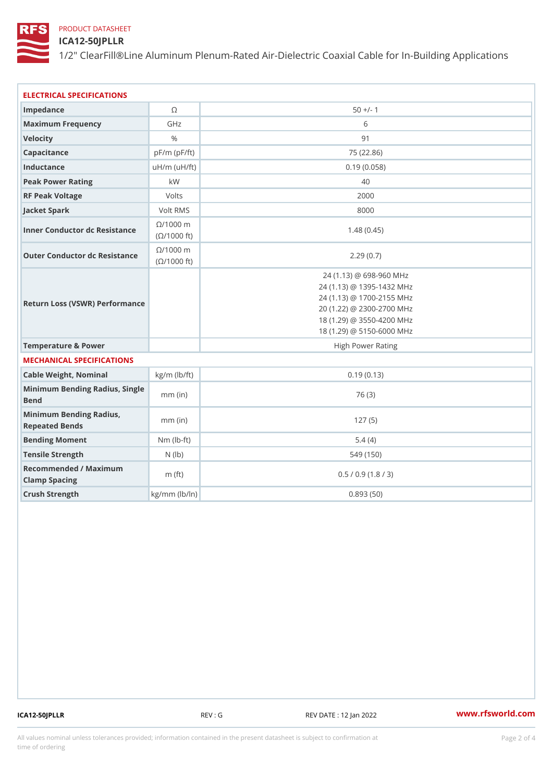## ICA12-50JPLLR

1/2" ClearFill®Line Aluminum Plenum-Rated Air-Dielectric Coaxial Cab

| ELECTRICAL SPECIFICATIONS                         |                      |                                                                                                                                                                          |
|---------------------------------------------------|----------------------|--------------------------------------------------------------------------------------------------------------------------------------------------------------------------|
| Impedance                                         | $\odot$              | $50 +/- 1$                                                                                                                                                               |
| Maximum Frequency                                 | GHz                  | 6                                                                                                                                                                        |
| Velocity                                          | $\%$                 | 91                                                                                                                                                                       |
| Capacitance                                       | $pF/m$ ( $pF/ft$ )   | 75 (22.86)                                                                                                                                                               |
| Inductance                                        | $uH/m$ ( $uH/ft$ )   | 0.19(0.058)                                                                                                                                                              |
| Peak Power Rating                                 | k W                  | 40                                                                                                                                                                       |
| RF Peak Voltage                                   | Volts                | 2000                                                                                                                                                                     |
| Jacket Spark                                      | Volt RMS             | 8000                                                                                                                                                                     |
| Inner Conductor dc Resistance<br>(©/1000 ft)      | $@/1000$ n           | 1.48(0.45)                                                                                                                                                               |
| Outer Conductor dc Resistance (6/1000 ft)         | $@/1000$ n           | 2.29(0.7)                                                                                                                                                                |
| Return Loss (VSWR) Performance                    |                      | 24 (1.13) @ 698-960 MHz<br>24 (1.13) @ 1395-1432 MHz<br>24 (1.13) @ 1700-2155 MHz<br>20 (1.22) @ 2300-2700 MHz<br>18 (1.29) @ 3550-4200 MHz<br>18 (1.29) @ 5150-6000 MHz |
| Temperature & Power                               |                      | High Power Rating                                                                                                                                                        |
| MECHANICAL SPECIFICATIONS                         |                      |                                                                                                                                                                          |
| Cable Weight, Nominal                             | $kg/m$ ( $lb/ft$ )   | 0.19(0.13)                                                                                                                                                               |
| Minimum Bending Radius, Single<br>Bend            |                      | 76 (3)                                                                                                                                                                   |
| Minimum Bending Radius, mm (in)<br>Repeated Bends |                      | 127(5)                                                                                                                                                                   |
| Bending Moment                                    | $Nm (lb - t)$        | 5.4(4)                                                                                                                                                                   |
| Tensile Strength                                  | $N$ ( $ b)$          | 549 (150)                                                                                                                                                                |
| Recommended / Maximum<br>Clamp Spacing            | m $(ft)$             | 0.5 / 0.9 (1.8 / 3)                                                                                                                                                      |
| Crush Strength                                    | $kg/m$ m l b /   n ) | 0.893(50)                                                                                                                                                                |

ICA12-50JPLLR REV : G REV DATE : 12 Jan 2022 WWW.rfsworld.com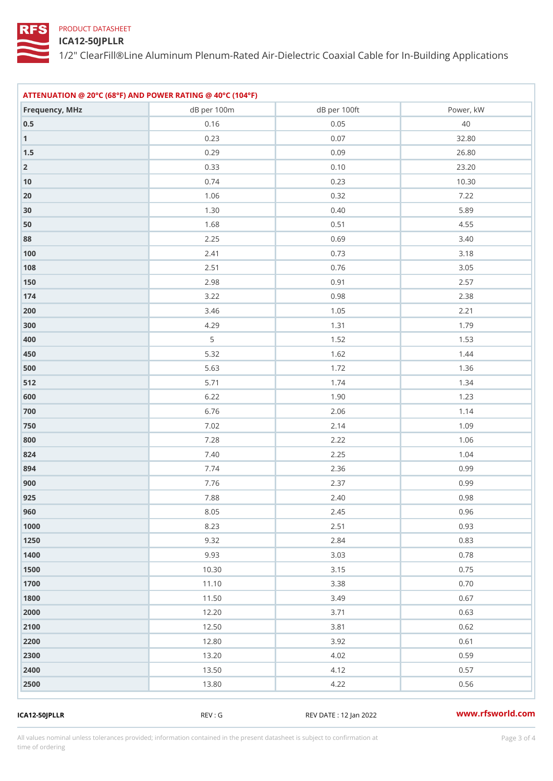## ICA12-50JPLLR

1/2" ClearFill®Line Aluminum Plenum-Rated Air-Dielectric Coaxial Cab

| ATTENUATION @ 20°C (68°F) AND POWER RATING @ 40°C (104°F) |                 |                |                 |  |  |
|-----------------------------------------------------------|-----------------|----------------|-----------------|--|--|
| Frequency, MHz                                            | dB per 100m     | dB per 100ft   | Power, kW       |  |  |
| $0\ .\ 5$                                                 | $0.16$          | $0.05$         | 40              |  |  |
| 1                                                         | 0.23            | $0.07$         | $3\,2$ . $8\,0$ |  |  |
| $1.5\,$                                                   | $0\,$ . $2\,9$  | $0.09$         | $2\,6$ . $8\,0$ |  |  |
| $\overline{2}$                                            | $0.33$          | $0.10$         | $2\,3$ . $2\,0$ |  |  |
| 10                                                        | $0\,$ . 7 $4\,$ | $0.23\,$       | 10.30           |  |  |
| $20$                                                      | $1.06$          | $0.32$         | 7.22            |  |  |
| 30                                                        | $1.30$          | $0.40\,$       | $5.89$          |  |  |
| 50                                                        | 1.68            | 0.51           | 4.55            |  |  |
| 88                                                        | $2.25$          | $0.69$         | $3.40\,$        |  |  |
| $100$                                                     | $2.41\,$        | $0.73\,$       | $3.18$          |  |  |
| 108                                                       | 2.51            | $0.76$         | $3\,.\,0\,5$    |  |  |
| 150                                                       | $2.98\,$        | $0.91$         | $2\,.\,5\,7$    |  |  |
| 174                                                       | $3.22$          | 0.98           | $2.38$          |  |  |
| 200                                                       | $3.46$          | 1.05           | 2.21            |  |  |
| 300                                                       | $4.29$          | 1.31           | 1.79            |  |  |
| 400                                                       | 5               | $1.52$         | $1.53$          |  |  |
| 450                                                       | $5.32\,$        | $1.62$         | $1.44$          |  |  |
| 500                                                       | $5.63\,$        | $1.72$         | $1.36$          |  |  |
| 5 1 2                                                     | $5.71\,$        | $1.74$         | $1.34$          |  |  |
| 600                                                       | 6.22            | 1.90           | 1.23            |  |  |
| 700                                                       | $6.76\,$        | $2.06\,$       | 1.14            |  |  |
| 750                                                       | $7\,.\,0\,2$    | $2.14$         | $1.09$          |  |  |
| 800                                                       | 7.28            | 2.22           | 1.06            |  |  |
| 824                                                       | $7\,.\,4\,0$    | $2.25$         | $1.04$          |  |  |
| 894                                                       | 7.74            | 2.36           | 0.99            |  |  |
| 900                                                       | $7.76\,$        | $2.37\,$       | $0.99$          |  |  |
| 925                                                       | $7.88$          | $2.40$         | $0\,.\,9\,8$    |  |  |
| 960                                                       | $8.05$          | $2.45$         | 0.96            |  |  |
| 1000                                                      | $8.23$          | $2.51$         | 0.93            |  |  |
| 1250                                                      | $9.32$          | $2.84$         | 0.83            |  |  |
| 1400                                                      | 9.93            | $3.03$         | $0.78$          |  |  |
| 1500                                                      | 10.30           | 3.15           | 0.75            |  |  |
| 1700                                                      | 11.10           | 3.38           | 0.70            |  |  |
| 1800                                                      | 11.50           | $3.49$         | $0\,.\,6\,7$    |  |  |
| 2000                                                      | 12.20           | 3.71           | 0.63            |  |  |
| 2100                                                      | 12.50           | 3.81           | $0\,.\,6\,2$    |  |  |
| 2200                                                      | 12.80           | 3.92           | 0.61            |  |  |
| 2300                                                      | 13.20           | $4.02\,$       | 0.59            |  |  |
| 2400                                                      | 13.50           | 4.12           | $0.57$          |  |  |
| 2500                                                      | 13.80           | $4\,$ . $2\,2$ | $0\,.\,5\,6$    |  |  |
|                                                           |                 |                |                 |  |  |

ICA12-50JPLLR REV : G REV DATE : 12 Jan 2022 [www.](https://www.rfsworld.com)rfsworld.com